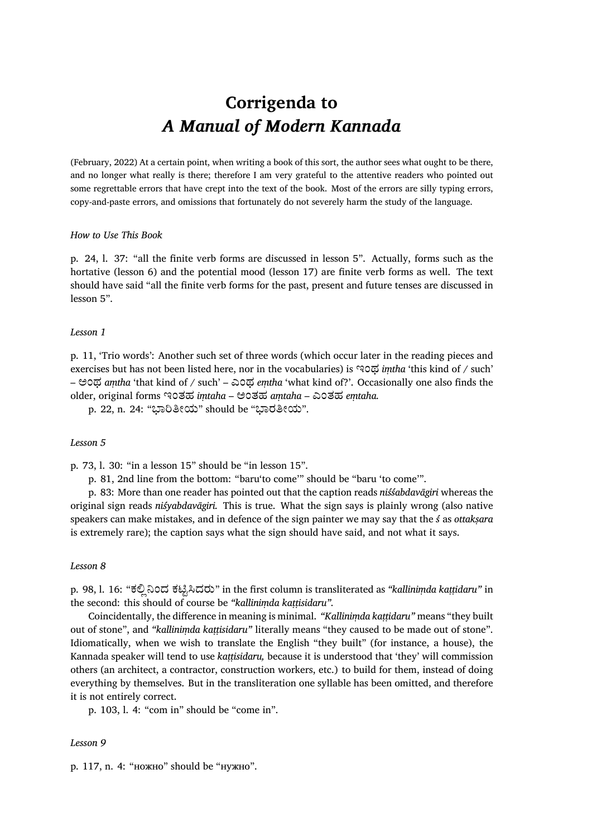# **Corrigenda to** *A Manual of Modern Kannada*

(February, 2022) At a certain point, when writing a book of this sort, the author sees what ought to be there, and no longer what really is there; therefore I am very grateful to the attentive readers who pointed out some regrettable errors that have crept into the text of the book. Most of the errors are silly typing errors, copy-and-paste errors, and omissions that fortunately do not severely harm the study of the language.

## *How to Use This Book*

p. 24, l. 37: "all the finite verb forms are discussed in lesson 5". Actually, forms such as the hortative (lesson 6) and the potential mood (lesson 17) are finite verb forms as well. The text should have said "all the finite verb forms for the past, present and future tenses are discussed in lesson 5".

# *Lesson 1*

p. 11, 'Trio words': Another such set of three words (which occur later in the reading pieces and exercises but has not been listed here, nor in the vocabularies) is ಇಂಥ *iṃtha* 'this kind of / such' – ಅಂಥ *aṃtha* 'that kind of / such' – ಎಂಥ *eṃtha* 'what kind of?'. Occasionally one also finds the older, original forms ಇಂತಹ *iṃtaha* – ಅಂತಹ *aṃtaha* – ಎಂತಹ *eṃtaha.*

p. 22, n. 24: "ಭಾರಿತೀಯ" should be "ಭಾರತೀಯ".

## *Lesson 5*

p. 73, l. 30: "in a lesson 15" should be "in lesson 15".

p. 81, 2nd line from the bottom: "baru'to come'" should be "baru 'to come'".

p. 83: More than one reader has pointed out that the caption reads *niśśabdavāgiri* whereas the original sign reads *niśyabdavāgiri.* This is true. What the sign says is plainly wrong (also native speakers can make mistakes, and in defence of the sign painter we may say that the *ś* as *ottakṣara* is extremely rare); the caption says what the sign should have said, and not what it says.

#### *Lesson 8*

p. 98, l. 16: "ಕಲಿಲ್ನಿಂದ ಕಟಿಟ್ಸಿದರು" in the first column is transliterated as *"kalliniṃda kaṭṭidaru"* in the second: this should of course be *"kalliniṃda kaṭṭisidaru".*

Coincidentally, the difference in meaning is minimal. *"Kalliniṃda kaṭṭidaru"* means "they built out of stone", and *"kalliniṃda kaṭṭisidaru"* literally means "they caused to be made out of stone". Idiomatically, when we wish to translate the English "they built" (for instance, a house), the Kannada speaker will tend to use *kaṭṭisidaru,* because it is understood that 'they' will commission others (an architect, a contractor, construction workers, etc.) to build for them, instead of doing everything by themselves. But in the transliteration one syllable has been omitted, and therefore it is not entirely correct.

p. 103, l. 4: "com in" should be "come in".

#### *Lesson 9*

p. 117, n. 4: "ножно" should be "нужно".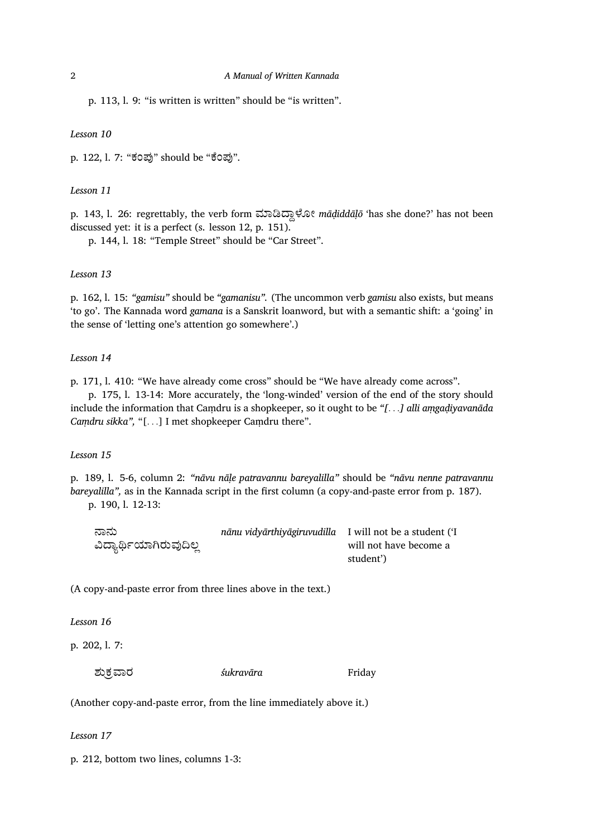p. 113, l. 9: "is written is written" should be "is written".

#### *Lesson 10*

p. 122, l. 7: "ಕಂಪು" should be "ಕೆಂಪು".

## *Lesson 11*

p. 143, l. 26: regrettably, the verb form ಮಾಡಿದ್ದಾಳೋ mādiddāļō 'has she done?' has not been discussed yet: it is a perfect (s. lesson 12, p. 151).

p. 144, l. 18: "Temple Street" should be "Car Street".

## *Lesson 13*

p. 162, l. 15: *"gamisu"* should be *"gamanisu".* (The uncommon verb *gamisu* also exists, but means 'to go'. The Kannada word *gamana* is a Sanskrit loanword, but with a semantic shift: a 'going' in the sense of 'letting one's attention go somewhere'.)

#### *Lesson 14*

p. 171, l. 410: "We have already come cross" should be "We have already come across".

p. 175, l. 13-14: More accurately, the 'long-winded' version of the end of the story should include the information that Caṃdru is a shopkeeper, so it ought to be *"[. . .] alli aṃgaḍiyavanāda Caṃdru sikka",* "[*. . .*] I met shopkeeper Caṃdru there".

# *Lesson 15*

p. 189, l. 5-6, column 2: *"nāvu nāḷe patravannu bareyalilla"* should be *"nāvu nenne patravannu bareyalilla",* as in the Kannada script in the first column (a copy-and-paste error from p. 187). p. 190, l. 12-13:

| ನಾನು                    | nānu vidyārthiyāgiruvudilla I will not be a student ('I |                        |
|-------------------------|---------------------------------------------------------|------------------------|
| ವಿದ್ಯಾರ್ಥಿಯಾಗಿರುವುದಿಲ್ಲ |                                                         | will not have become a |
|                         |                                                         | student')              |

(A copy-and-paste error from three lines above in the text.)

*Lesson 16*

p. 202, l. 7:

ಶುಕ್ರವಾರ *śukravāra* Friday

(Another copy-and-paste error, from the line immediately above it.)

*Lesson 17*

p. 212, bottom two lines, columns 1-3: